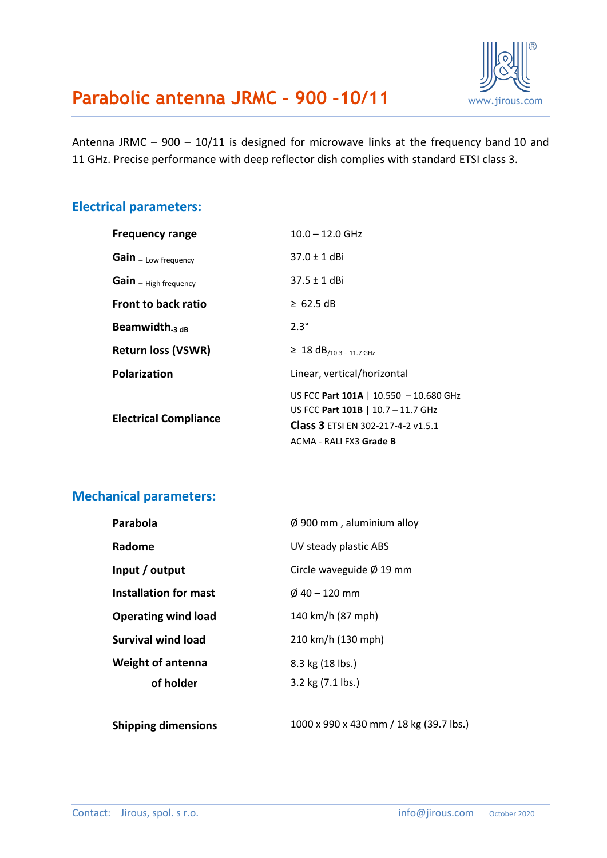Antenna JRMC – 900 – 10/11 is designed for microwave links at the frequency band 10 and 11 GHz. Precise performance with deep reflector dish complies with standard ETSI class 3.

#### **Electrical parameters:**

| <b>Frequency range</b>       | $10.0 - 12.0$ GHz                                                                                                  |  |
|------------------------------|--------------------------------------------------------------------------------------------------------------------|--|
| Gain - Low frequency         | $37.0 \pm 1$ dBi                                                                                                   |  |
| Gain - High frequency        | $37.5 \pm 1$ dBi                                                                                                   |  |
| <b>Front to back ratio</b>   | $\geq 62.5$ dB                                                                                                     |  |
| Beamwidth <sub>-3 dB</sub>   | $2.3^\circ$                                                                                                        |  |
| <b>Return loss (VSWR)</b>    | $\geq 18 dB_{/10.3 - 11.7 GHz}$                                                                                    |  |
| <b>Polarization</b>          | Linear, vertical/horizontal                                                                                        |  |
| <b>Electrical Compliance</b> | US FCC Part 101A   10.550 - 10.680 GHz<br>US FCC Part 101B   10.7 - 11.7 GHz<br>Class 3 ETSI EN 302-217-4-2 v1.5.1 |  |
|                              | ACMA - RALI FX3 Grade B                                                                                            |  |

#### **Mechanical parameters:**

| Parabola                   | $\varnothing$ 900 mm, aluminium alloy |  |
|----------------------------|---------------------------------------|--|
| Radome                     | UV steady plastic ABS                 |  |
| Input / output             | Circle waveguide $\varnothing$ 19 mm  |  |
| Installation for mast      | $\emptyset$ 40 – 120 mm               |  |
| <b>Operating wind load</b> | 140 km/h (87 mph)                     |  |
| <b>Survival wind load</b>  | 210 km/h (130 mph)                    |  |
| <b>Weight of antenna</b>   | 8.3 kg (18 lbs.)                      |  |
| of holder                  | 3.2 kg (7.1 lbs.)                     |  |
|                            |                                       |  |

**Shipping dimensions** 1000 x 990 x 430 mm / 18 kg (39.7 lbs.)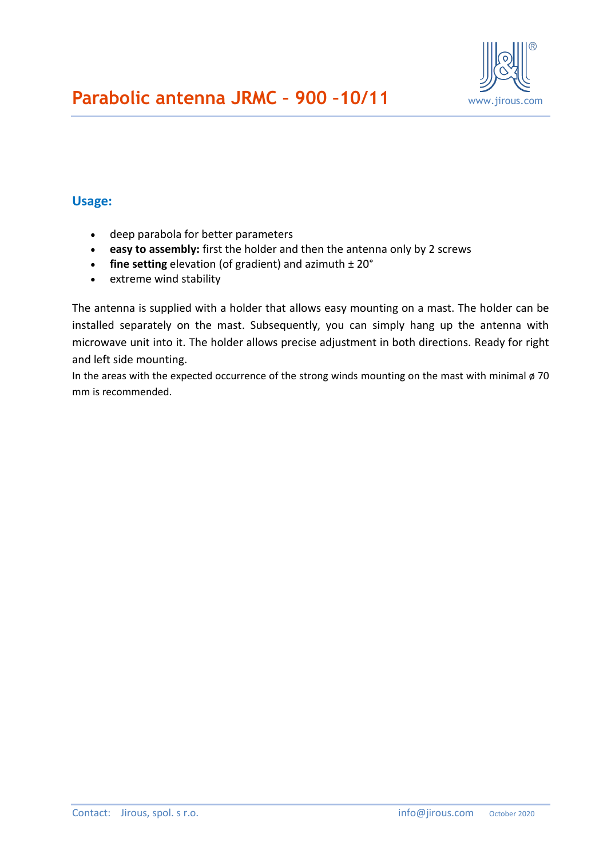

### **Usage:**

- deep parabola for better parameters
- **easy to assembly:** first the holder and then the antenna only by 2 screws
- **fine setting** elevation (of gradient) and azimuth  $\pm 20^{\circ}$
- extreme wind stability

The antenna is supplied with a holder that allows easy mounting on a mast. The holder can be installed separately on the mast. Subsequently, you can simply hang up the antenna with microwave unit into it. The holder allows precise adjustment in both directions. Ready for right and left side mounting.

In the areas with the expected occurrence of the strong winds mounting on the mast with minimal  $\phi$  70 mm is recommended.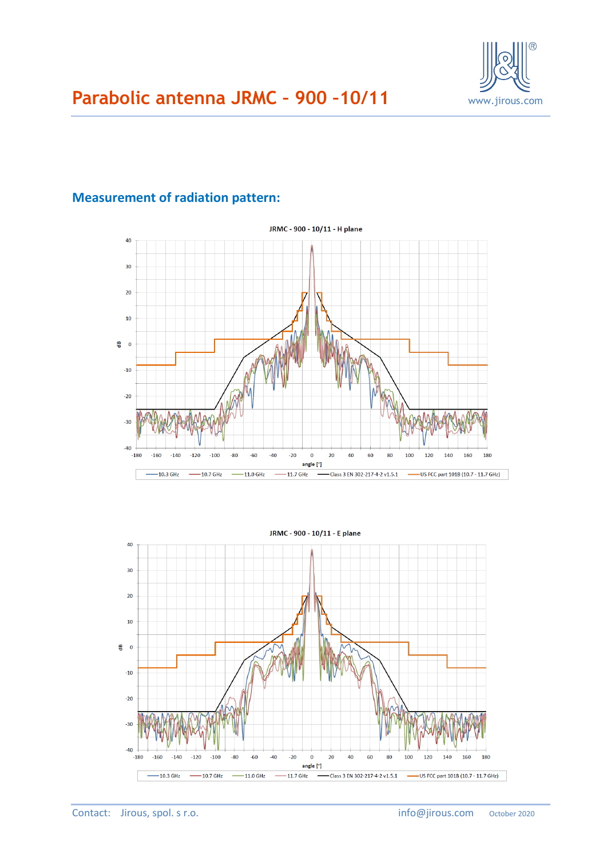

### **Measurement of radiation pattern:**

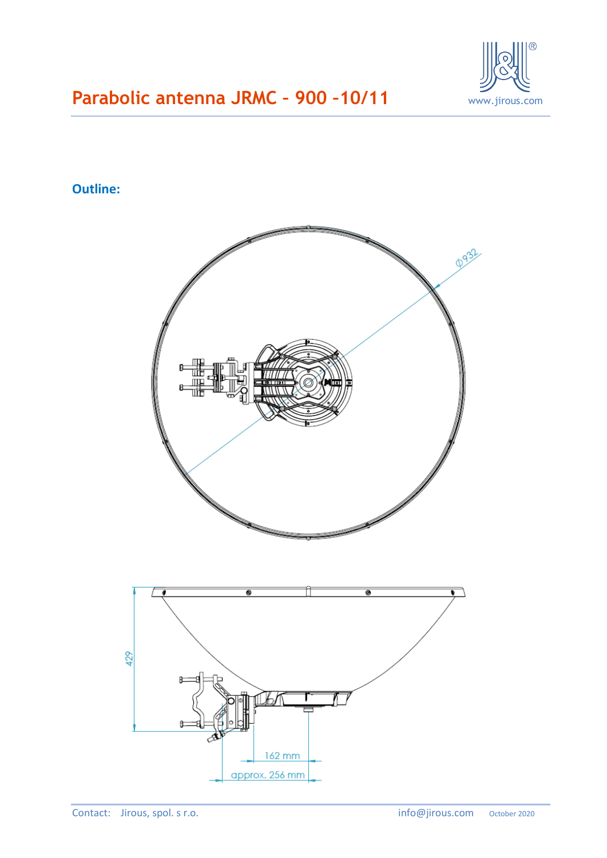

## **Outline:**